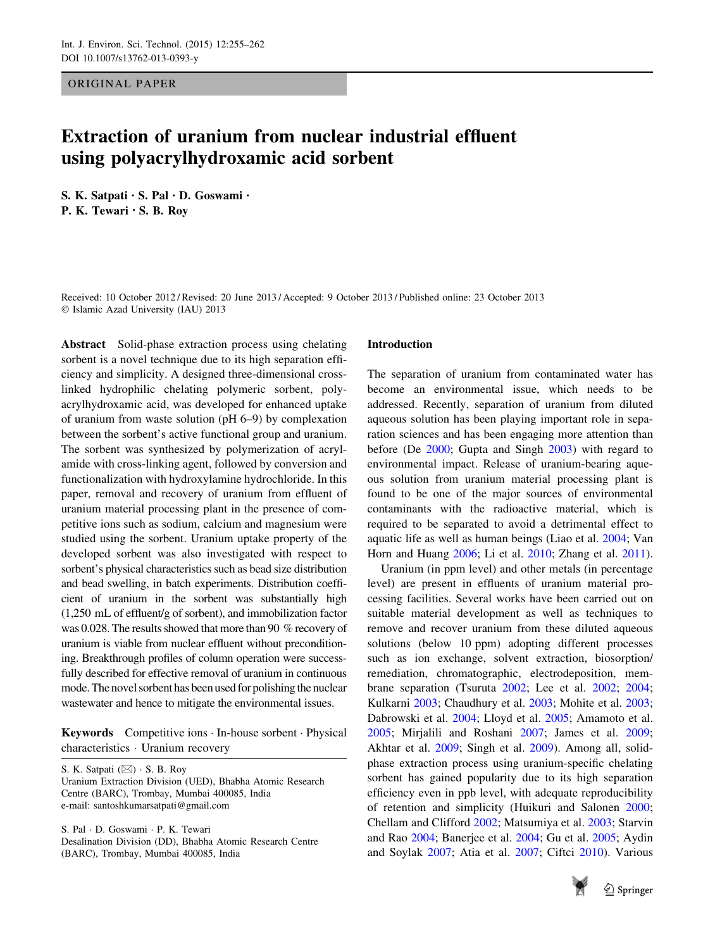ORIGINAL PAPER

# Extraction of uranium from nuclear industrial effluent using polyacrylhydroxamic acid sorbent

S. K. Satpati • S. Pal • D. Goswami • P. K. Tewari • S. B. Roy

Received: 10 October 2012 / Revised: 20 June 2013 / Accepted: 9 October 2013 / Published online: 23 October 2013  $©$  Islamic Azad University (IAU) 2013

Abstract Solid-phase extraction process using chelating sorbent is a novel technique due to its high separation efficiency and simplicity. A designed three-dimensional crosslinked hydrophilic chelating polymeric sorbent, polyacrylhydroxamic acid, was developed for enhanced uptake of uranium from waste solution (pH 6–9) by complexation between the sorbent's active functional group and uranium. The sorbent was synthesized by polymerization of acrylamide with cross-linking agent, followed by conversion and functionalization with hydroxylamine hydrochloride. In this paper, removal and recovery of uranium from effluent of uranium material processing plant in the presence of competitive ions such as sodium, calcium and magnesium were studied using the sorbent. Uranium uptake property of the developed sorbent was also investigated with respect to sorbent's physical characteristics such as bead size distribution and bead swelling, in batch experiments. Distribution coefficient of uranium in the sorbent was substantially high (1,250 mL of effluent/g of sorbent), and immobilization factor was 0.028. The results showed that more than 90 % recovery of uranium is viable from nuclear effluent without preconditioning. Breakthrough profiles of column operation were successfully described for effective removal of uranium in continuous mode. The novel sorbent has been used for polishing the nuclear wastewater and hence to mitigate the environmental issues.

Keywords Competitive ions - In-house sorbent - Physical characteristics - Uranium recovery

S. K. Satpati (⊠) · S. B. Roy Uranium Extraction Division (UED), Bhabha Atomic Research Centre (BARC), Trombay, Mumbai 400085, India e-mail: santoshkumarsatpati@gmail.com

S. Pal - D. Goswami - P. K. Tewari Desalination Division (DD), Bhabha Atomic Research Centre (BARC), Trombay, Mumbai 400085, India

#### Introduction

The separation of uranium from contaminated water has become an environmental issue, which needs to be addressed. Recently, separation of uranium from diluted aqueous solution has been playing important role in separation sciences and has been engaging more attention than before (De [2000](#page-7-0); Gupta and Singh [2003](#page-7-0)) with regard to environmental impact. Release of uranium-bearing aqueous solution from uranium material processing plant is found to be one of the major sources of environmental contaminants with the radioactive material, which is required to be separated to avoid a detrimental effect to aquatic life as well as human beings (Liao et al. [2004](#page-7-0); Van Horn and Huang [2006;](#page-7-0) Li et al. [2010;](#page-7-0) Zhang et al. [2011](#page-7-0)).

Uranium (in ppm level) and other metals (in percentage level) are present in effluents of uranium material processing facilities. Several works have been carried out on suitable material development as well as techniques to remove and recover uranium from these diluted aqueous solutions (below 10 ppm) adopting different processes such as ion exchange, solvent extraction, biosorption/ remediation, chromatographic, electrodeposition, membrane separation (Tsuruta [2002;](#page-7-0) Lee et al. [2002;](#page-7-0) [2004](#page-7-0); Kulkarni [2003;](#page-7-0) Chaudhury et al. [2003;](#page-7-0) Mohite et al. [2003](#page-7-0); Dabrowski et al. [2004](#page-7-0); Lloyd et al. [2005](#page-7-0); Amamoto et al. [2005](#page-6-0); Mirjalili and Roshani [2007](#page-7-0); James et al. [2009](#page-7-0); Akhtar et al. [2009;](#page-6-0) Singh et al. [2009](#page-7-0)). Among all, solidphase extraction process using uranium-specific chelating sorbent has gained popularity due to its high separation efficiency even in ppb level, with adequate reproducibility of retention and simplicity (Huikuri and Salonen [2000](#page-7-0); Chellam and Clifford [2002;](#page-7-0) Matsumiya et al. [2003;](#page-7-0) Starvin and Rao [2004;](#page-7-0) Banerjee et al. [2004;](#page-7-0) Gu et al. [2005;](#page-7-0) Aydin and Soylak [2007](#page-6-0); Atia et al. [2007](#page-6-0); Ciftci [2010\)](#page-7-0). Various

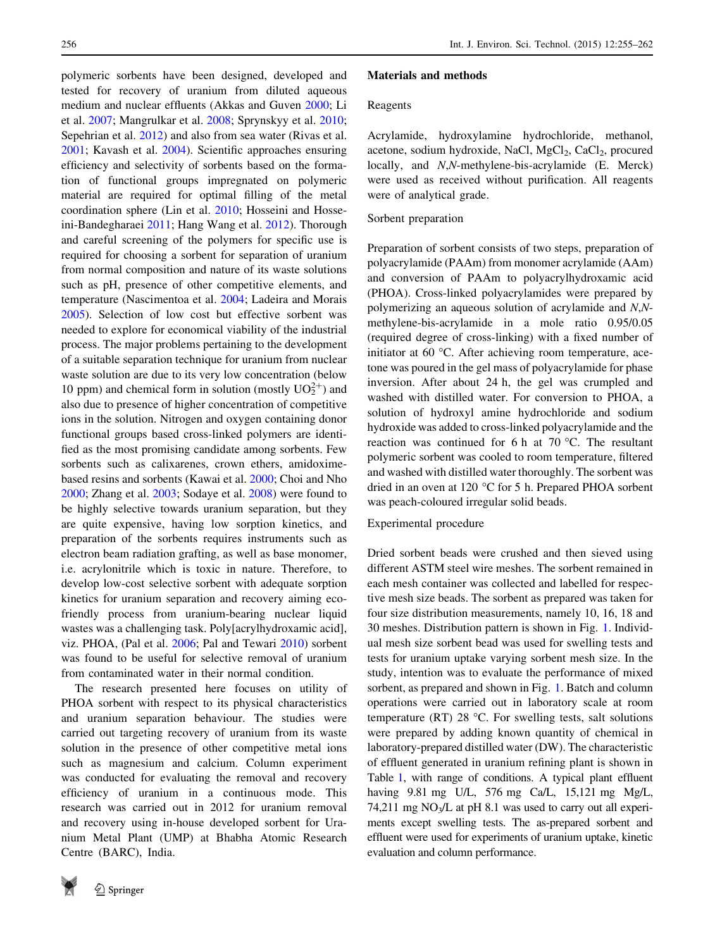polymeric sorbents have been designed, developed and tested for recovery of uranium from diluted aqueous medium and nuclear effluents (Akkas and Guven [2000](#page-6-0); Li et al. [2007;](#page-7-0) Mangrulkar et al. [2008](#page-7-0); Sprynskyy et al. [2010](#page-7-0); Sepehrian et al. [2012](#page-7-0)) and also from sea water (Rivas et al. [2001;](#page-7-0) Kavash et al. [2004](#page-7-0)). Scientific approaches ensuring efficiency and selectivity of sorbents based on the formation of functional groups impregnated on polymeric material are required for optimal filling of the metal coordination sphere (Lin et al. [2010](#page-7-0); Hosseini and Hosseini-Bandegharaei [2011;](#page-7-0) Hang Wang et al. 2012). Thorough and careful screening of the polymers for specific use is required for choosing a sorbent for separation of uranium from normal composition and nature of its waste solutions such as pH, presence of other competitive elements, and temperature (Nascimentoa et al. [2004;](#page-7-0) Ladeira and Morais [2005\)](#page-7-0). Selection of low cost but effective sorbent was needed to explore for economical viability of the industrial process. The major problems pertaining to the development of a suitable separation technique for uranium from nuclear waste solution are due to its very low concentration (below 10 ppm) and chemical form in solution (mostly  $UO_2^{2+}$ ) and also due to presence of higher concentration of competitive ions in the solution. Nitrogen and oxygen containing donor functional groups based cross-linked polymers are identified as the most promising candidate among sorbents. Few sorbents such as calixarenes, crown ethers, amidoximebased resins and sorbents (Kawai et al. [2000](#page-7-0); Choi and Nho [2000;](#page-7-0) Zhang et al. [2003](#page-7-0); Sodaye et al. [2008](#page-7-0)) were found to be highly selective towards uranium separation, but they are quite expensive, having low sorption kinetics, and preparation of the sorbents requires instruments such as electron beam radiation grafting, as well as base monomer, i.e. acrylonitrile which is toxic in nature. Therefore, to develop low-cost selective sorbent with adequate sorption kinetics for uranium separation and recovery aiming ecofriendly process from uranium-bearing nuclear liquid wastes was a challenging task. Poly[acrylhydroxamic acid], viz. PHOA, (Pal et al. [2006](#page-7-0); Pal and Tewari [2010](#page-7-0)) sorbent was found to be useful for selective removal of uranium from contaminated water in their normal condition.

The research presented here focuses on utility of PHOA sorbent with respect to its physical characteristics and uranium separation behaviour. The studies were carried out targeting recovery of uranium from its waste solution in the presence of other competitive metal ions such as magnesium and calcium. Column experiment was conducted for evaluating the removal and recovery efficiency of uranium in a continuous mode. This research was carried out in 2012 for uranium removal and recovery using in-house developed sorbent for Uranium Metal Plant (UMP) at Bhabha Atomic Research Centre (BARC), India.



#### Materials and methods

# Reagents

Acrylamide, hydroxylamine hydrochloride, methanol, acetone, sodium hydroxide, NaCl, MgCl<sub>2</sub>, CaCl<sub>2</sub>, procured locally, and N,N-methylene-bis-acrylamide (E. Merck) were used as received without purification. All reagents were of analytical grade.

# Sorbent preparation

Preparation of sorbent consists of two steps, preparation of polyacrylamide (PAAm) from monomer acrylamide (AAm) and conversion of PAAm to polyacrylhydroxamic acid (PHOA). Cross-linked polyacrylamides were prepared by polymerizing an aqueous solution of acrylamide and N,Nmethylene-bis-acrylamide in a mole ratio 0.95/0.05 (required degree of cross-linking) with a fixed number of initiator at 60  $\degree$ C. After achieving room temperature, acetone was poured in the gel mass of polyacrylamide for phase inversion. After about 24 h, the gel was crumpled and washed with distilled water. For conversion to PHOA, a solution of hydroxyl amine hydrochloride and sodium hydroxide was added to cross-linked polyacrylamide and the reaction was continued for 6 h at  $70^{\circ}$ C. The resultant polymeric sorbent was cooled to room temperature, filtered and washed with distilled water thoroughly. The sorbent was dried in an oven at 120  $\degree$ C for 5 h. Prepared PHOA sorbent was peach-coloured irregular solid beads.

Experimental procedure

Dried sorbent beads were crushed and then sieved using different ASTM steel wire meshes. The sorbent remained in each mesh container was collected and labelled for respective mesh size beads. The sorbent as prepared was taken for four size distribution measurements, namely 10, 16, 18 and 30 meshes. Distribution pattern is shown in Fig. [1.](#page-2-0) Individual mesh size sorbent bead was used for swelling tests and tests for uranium uptake varying sorbent mesh size. In the study, intention was to evaluate the performance of mixed sorbent, as prepared and shown in Fig. [1](#page-2-0). Batch and column operations were carried out in laboratory scale at room temperature (RT) 28  $\degree$ C. For swelling tests, salt solutions were prepared by adding known quantity of chemical in laboratory-prepared distilled water (DW). The characteristic of effluent generated in uranium refining plant is shown in Table [1](#page-2-0), with range of conditions. A typical plant effluent having 9.81 mg U/L, 576 mg Ca/L, 15,121 mg Mg/L, 74,211 mg  $NO<sub>3</sub>/L$  at pH 8.1 was used to carry out all experiments except swelling tests. The as-prepared sorbent and effluent were used for experiments of uranium uptake, kinetic evaluation and column performance.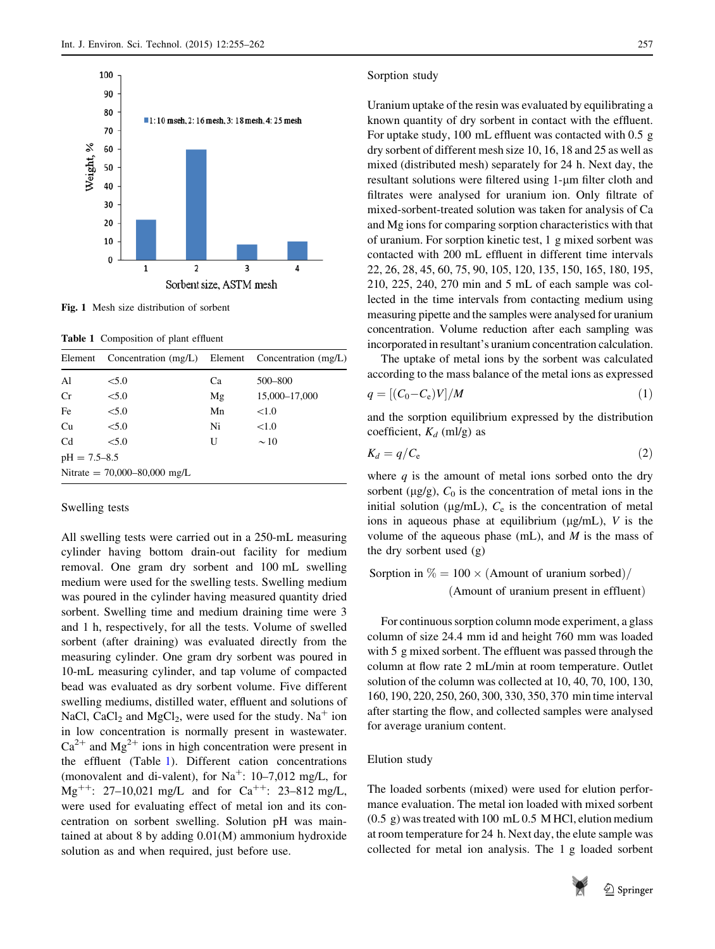<span id="page-2-0"></span>

Fig. 1 Mesh size distribution of sorbent

Table 1 Composition of plant effluent

| Element          | Concentration $(mg/L)$ Element Concentration $(mg/L)$ |    |               |
|------------------|-------------------------------------------------------|----|---------------|
| Al               | < 5.0                                                 | Ca | 500-800       |
| Cr               | < 5.0                                                 | Mg | 15,000-17,000 |
| Fe               | < 5.0                                                 | Mn | <1.0          |
| Cu               | < 5.0                                                 | Ni | < 1.0         |
| C <sub>d</sub>   | < 5.0                                                 | U  | $\sim$ 10     |
| $pH = 7.5 - 8.5$ |                                                       |    |               |
|                  | Nitrate = $70,000-80,000$ mg/L                        |    |               |

# Swelling tests

All swelling tests were carried out in a 250-mL measuring cylinder having bottom drain-out facility for medium removal. One gram dry sorbent and 100 mL swelling medium were used for the swelling tests. Swelling medium was poured in the cylinder having measured quantity dried sorbent. Swelling time and medium draining time were 3 and 1 h, respectively, for all the tests. Volume of swelled sorbent (after draining) was evaluated directly from the measuring cylinder. One gram dry sorbent was poured in 10-mL measuring cylinder, and tap volume of compacted bead was evaluated as dry sorbent volume. Five different swelling mediums, distilled water, effluent and solutions of NaCl, CaCl<sub>2</sub> and MgCl<sub>2</sub>, were used for the study. Na<sup>+</sup> ion in low concentration is normally present in wastewater.  $Ca^{2+}$  and  $Mg^{2+}$  ions in high concentration were present in the effluent (Table 1). Different cation concentrations (monovalent and di-valent), for  $Na^+$ : 10-7,012 mg/L, for Mg<sup>++</sup>: 27–10,021 mg/L and for Ca<sup>++</sup>: 23–812 mg/L, were used for evaluating effect of metal ion and its concentration on sorbent swelling. Solution pH was maintained at about 8 by adding 0.01(M) ammonium hydroxide solution as and when required, just before use.

#### Sorption study

Uranium uptake of the resin was evaluated by equilibrating a known quantity of dry sorbent in contact with the effluent. For uptake study, 100 mL effluent was contacted with 0.5 g dry sorbent of different mesh size 10, 16, 18 and 25 as well as mixed (distributed mesh) separately for 24 h. Next day, the resultant solutions were filtered using 1-um filter cloth and filtrates were analysed for uranium ion. Only filtrate of mixed-sorbent-treated solution was taken for analysis of Ca and Mg ions for comparing sorption characteristics with that of uranium. For sorption kinetic test, 1 g mixed sorbent was contacted with 200 mL effluent in different time intervals 22, 26, 28, 45, 60, 75, 90, 105, 120, 135, 150, 165, 180, 195, 210, 225, 240, 270 min and 5 mL of each sample was collected in the time intervals from contacting medium using measuring pipette and the samples were analysed for uranium concentration. Volume reduction after each sampling was incorporated in resultant's uranium concentration calculation.

The uptake of metal ions by the sorbent was calculated according to the mass balance of the metal ions as expressed

$$
q = [(C_0 - C_e)V]/M \tag{1}
$$

and the sorption equilibrium expressed by the distribution coefficient,  $K_d$  (ml/g) as

$$
K_d = q/C_e \tag{2}
$$

where  $q$  is the amount of metal ions sorbed onto the dry sorbent ( $\mu$ g/g),  $C_0$  is the concentration of metal ions in the initial solution ( $\mu$ g/mL),  $C_e$  is the concentration of metal ions in aqueous phase at equilibrium ( $\mu$ g/mL), V is the volume of the aqueous phase (mL), and  $M$  is the mass of the dry sorbent used (g)

Sorption in  $\% = 100 \times ($ Amount of uranium sorbed $)/$ 

(Amount of uranium present in effluent)

For continuous sorption column mode experiment, a glass column of size 24.4 mm id and height 760 mm was loaded with 5 g mixed sorbent. The effluent was passed through the column at flow rate 2 mL/min at room temperature. Outlet solution of the column was collected at 10, 40, 70, 100, 130, 160, 190, 220, 250, 260, 300, 330, 350, 370 min time interval after starting the flow, and collected samples were analysed for average uranium content.

#### Elution study

The loaded sorbents (mixed) were used for elution performance evaluation. The metal ion loaded with mixed sorbent (0.5 g) was treated with 100 mL 0.5 M HCl, elution medium at room temperature for 24 h. Next day, the elute sample was collected for metal ion analysis. The 1 g loaded sorbent

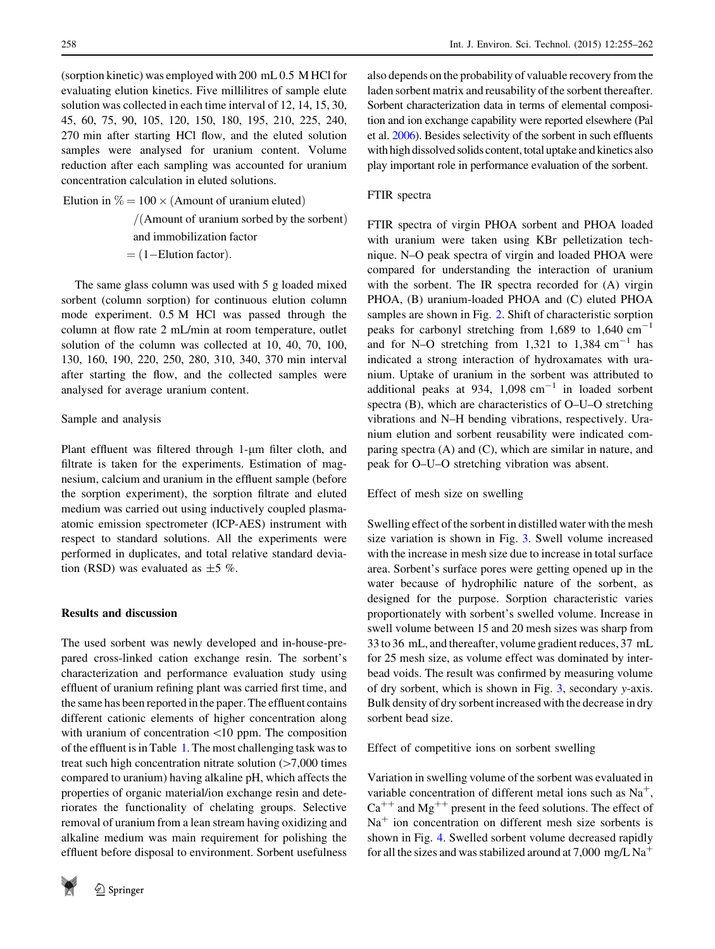(sorption kinetic) was employed with 200 mL 0.5 M HCl for evaluating elution kinetics. Five millilitres of sample elute solution was collected in each time interval of 12, 14, 15, 30, 45, 60, 75, 90, 105, 120, 150, 180, 195, 210, 225, 240, 270 min after starting HCl flow, and the eluted solution samples were analysed for uranium content. Volume reduction after each sampling was accounted for uranium concentration calculation in eluted solutions.

Elution in  $\% = 100 \times ($ Amount of uranium eluted)

 $/$ (Amount of uranium sorbed by the sorbent)

and immobilization factor

 $=$  (1–Elution factor).

The same glass column was used with 5 g loaded mixed sorbent (column sorption) for continuous elution column mode experiment. 0.5 M HCl was passed through the column at flow rate 2 mL/min at room temperature, outlet solution of the column was collected at 10, 40, 70, 100, 130, 160, 190, 220, 250, 280, 310, 340, 370 min interval after starting the flow, and the collected samples were analysed for average uranium content.

# Sample and analysis

Plant effluent was filtered through 1-um filter cloth, and filtrate is taken for the experiments. Estimation of magnesium, calcium and uranium in the effluent sample (before the sorption experiment), the sorption filtrate and eluted medium was carried out using inductively coupled plasmaatomic emission spectrometer (ICP-AES) instrument with respect to standard solutions. All the experiments were performed in duplicates, and total relative standard deviation (RSD) was evaluated as  $\pm$ 5 %.

# Results and discussion

The used sorbent was newly developed and in-house-prepared cross-linked cation exchange resin. The sorbent's characterization and performance evaluation study using effluent of uranium refining plant was carried first time, and the same has been reported in the paper. The effluent contains different cationic elements of higher concentration along with uranium of concentration  $\langle 10 \text{ ppm}$ . The composition of the effluent is in Table [1.](#page-2-0) The most challenging task was to treat such high concentration nitrate solution  $(>7,000$  times compared to uranium) having alkaline pH, which affects the properties of organic material/ion exchange resin and deteriorates the functionality of chelating groups. Selective removal of uranium from a lean stream having oxidizing and alkaline medium was main requirement for polishing the effluent before disposal to environment. Sorbent usefulness



also depends on the probability of valuable recovery from the laden sorbent matrix and reusability of the sorbent thereafter. Sorbent characterization data in terms of elemental composition and ion exchange capability were reported elsewhere (Pal et al. [2006\)](#page-7-0). Besides selectivity of the sorbent in such effluents with high dissolved solids content, total uptake and kinetics also play important role in performance evaluation of the sorbent.

# FTIR spectra

FTIR spectra of virgin PHOA sorbent and PHOA loaded with uranium were taken using KBr pelletization technique. N–O peak spectra of virgin and loaded PHOA were compared for understanding the interaction of uranium with the sorbent. The IR spectra recorded for (A) virgin PHOA, (B) uranium-loaded PHOA and (C) eluted PHOA samples are shown in Fig. [2](#page-4-0). Shift of characteristic sorption peaks for carbonyl stretching from 1,689 to 1,640  $\text{cm}^{-1}$ and for N–O stretching from  $1,321$  to  $1,384$  cm<sup>-1</sup> has indicated a strong interaction of hydroxamates with uranium. Uptake of uranium in the sorbent was attributed to additional peaks at 934,  $1,098$  cm<sup>-1</sup> in loaded sorbent spectra (B), which are characteristics of O–U–O stretching vibrations and N–H bending vibrations, respectively. Uranium elution and sorbent reusability were indicated comparing spectra (A) and (C), which are similar in nature, and peak for O–U–O stretching vibration was absent.

Effect of mesh size on swelling

Swelling effect of the sorbent in distilled water with the mesh size variation is shown in Fig. [3](#page-5-0). Swell volume increased with the increase in mesh size due to increase in total surface area. Sorbent's surface pores were getting opened up in the water because of hydrophilic nature of the sorbent, as designed for the purpose. Sorption characteristic varies proportionately with sorbent's swelled volume. Increase in swell volume between 15 and 20 mesh sizes was sharp from 33 to 36 mL, and thereafter, volume gradient reduces, 37 mL for 25 mesh size, as volume effect was dominated by interbead voids. The result was confirmed by measuring volume of dry sorbent, which is shown in Fig. [3,](#page-5-0) secondary y-axis. Bulk density of dry sorbent increased with the decrease in dry sorbent bead size.

Effect of competitive ions on sorbent swelling

Variation in swelling volume of the sorbent was evaluated in variable concentration of different metal ions such as  $Na<sup>+</sup>$ ,  $Ca^{++}$  and Mg<sup>++</sup> present in the feed solutions. The effect of  $Na<sup>+</sup>$  ion concentration on different mesh size sorbents is shown in Fig. [4](#page-5-0). Swelled sorbent volume decreased rapidly for all the sizes and was stabilized around at 7,000 mg/L Na<sup>+</sup>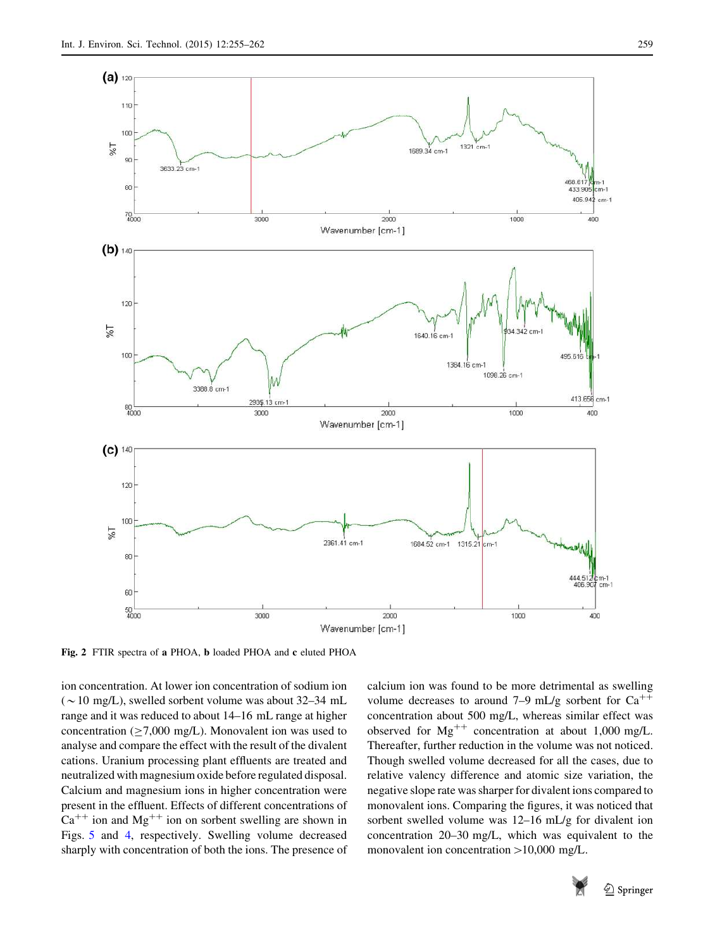<span id="page-4-0"></span>

Fig. 2 FTIR spectra of a PHOA, b loaded PHOA and c eluted PHOA

ion concentration. At lower ion concentration of sodium ion ( $\sim$ 10 mg/L), swelled sorbent volume was about 32–34 mL range and it was reduced to about 14–16 mL range at higher concentration ( $\geq$ 7,000 mg/L). Monovalent ion was used to analyse and compare the effect with the result of the divalent cations. Uranium processing plant effluents are treated and neutralized with magnesium oxide before regulated disposal. Calcium and magnesium ions in higher concentration were present in the effluent. Effects of different concentrations of  $Ca^{++}$  ion and Mg<sup>++</sup> ion on sorbent swelling are shown in Figs. [5](#page-5-0) and [4](#page-5-0), respectively. Swelling volume decreased sharply with concentration of both the ions. The presence of calcium ion was found to be more detrimental as swelling volume decreases to around 7–9 mL/g sorbent for  $Ca^{++}$ concentration about 500 mg/L, whereas similar effect was observed for  $Mg^{++}$  concentration at about 1,000 mg/L. Thereafter, further reduction in the volume was not noticed. Though swelled volume decreased for all the cases, due to relative valency difference and atomic size variation, the negative slope rate was sharper for divalent ions compared to monovalent ions. Comparing the figures, it was noticed that sorbent swelled volume was 12–16 mL/g for divalent ion concentration 20–30 mg/L, which was equivalent to the monovalent ion concentration  $>10,000$  mg/L.

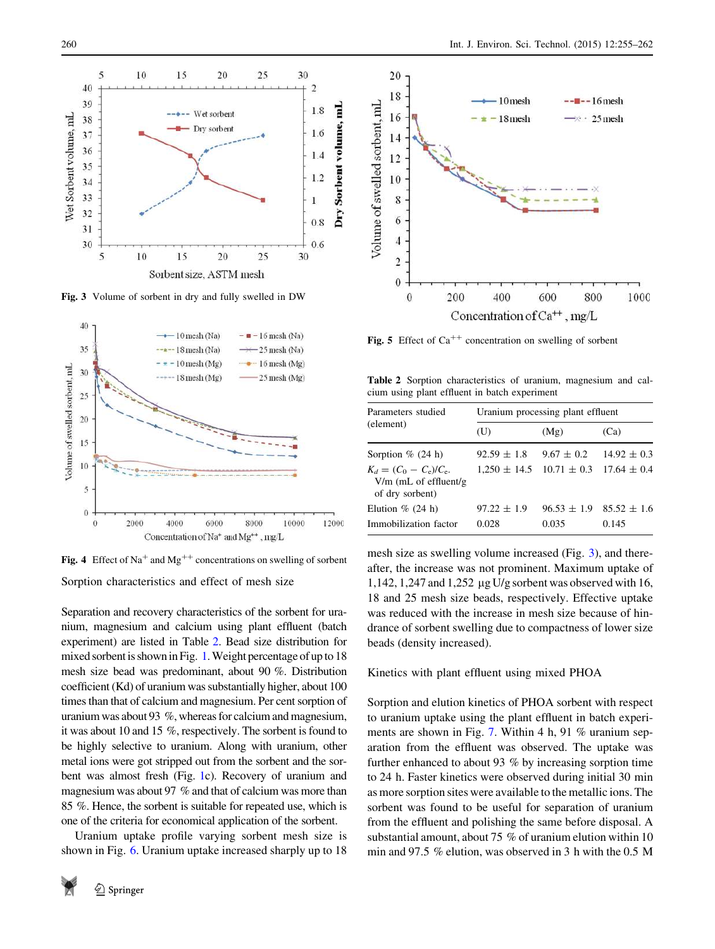<span id="page-5-0"></span>

Fig. 3 Volume of sorbent in dry and fully swelled in DW



Sorption characteristics and effect of mesh size Fig. 4 Effect of Na<sup>+</sup> and Mg<sup>++</sup> concentrations on swelling of sorbent

Separation and recovery characteristics of the sorbent for uranium, magnesium and calcium using plant effluent (batch experiment) are listed in Table 2. Bead size distribution for mixed sorbent is shown in Fig. [1.](#page-2-0) Weight percentage of up to 18 mesh size bead was predominant, about 90 %. Distribution coefficient (Kd) of uranium was substantially higher, about 100 times than that of calcium and magnesium. Per cent sorption of uranium was about 93 %, whereas for calcium and magnesium, it was about 10 and 15 %, respectively. The sorbent is found to be highly selective to uranium. Along with uranium, other metal ions were got stripped out from the sorbent and the sorbent was almost fresh (Fig. [1c](#page-2-0)). Recovery of uranium and magnesium was about 97 % and that of calcium was more than 85 %. Hence, the sorbent is suitable for repeated use, which is one of the criteria for economical application of the sorbent.

Uranium uptake profile varying sorbent mesh size is shown in Fig. [6](#page-6-0). Uranium uptake increased sharply up to 18





Fig. 5 Effect of  $Ca^{++}$  concentration on swelling of sorbent

Table 2 Sorption characteristics of uranium, magnesium and calcium using plant effluent in batch experiment

| Parameters studied                                                      | Uranium processing plant effluent |                 |                 |  |
|-------------------------------------------------------------------------|-----------------------------------|-----------------|-----------------|--|
| (element)                                                               | (U)                               | (Mg)            | (Ca)            |  |
| Sorption $\%$ (24 h)                                                    | $92.59 \pm 1.8$                   | $9.67 \pm 0.2$  | $14.92 \pm 0.3$ |  |
| $K_d = (C_0 - C_e)/C_e.$<br>$V/m$ (mL of effluent/g)<br>of dry sorbent) | $1.250 \pm 14.5$ $10.71 \pm 0.3$  |                 | $17.64 \pm 0.4$ |  |
| Elution $\%$ (24 h)                                                     | $97.22 \pm 1.9$                   | $96.53 \pm 1.9$ | $85.52 \pm 1.6$ |  |
| Immobilization factor                                                   | 0.028                             | 0.035           | 0.145           |  |

mesh size as swelling volume increased (Fig. 3), and thereafter, the increase was not prominent. Maximum uptake of 1,142, 1,247 and 1,252 lg U/g sorbent was observed with 16, 18 and 25 mesh size beads, respectively. Effective uptake was reduced with the increase in mesh size because of hindrance of sorbent swelling due to compactness of lower size beads (density increased).

## Kinetics with plant effluent using mixed PHOA

Sorption and elution kinetics of PHOA sorbent with respect to uranium uptake using the plant effluent in batch experi-ments are shown in Fig. [7.](#page-6-0) Within 4 h, 91 % uranium separation from the effluent was observed. The uptake was further enhanced to about 93 % by increasing sorption time to 24 h. Faster kinetics were observed during initial 30 min as more sorption sites were available to the metallic ions. The sorbent was found to be useful for separation of uranium from the effluent and polishing the same before disposal. A substantial amount, about 75 % of uranium elution within 10 min and 97.5 % elution, was observed in 3 h with the 0.5 M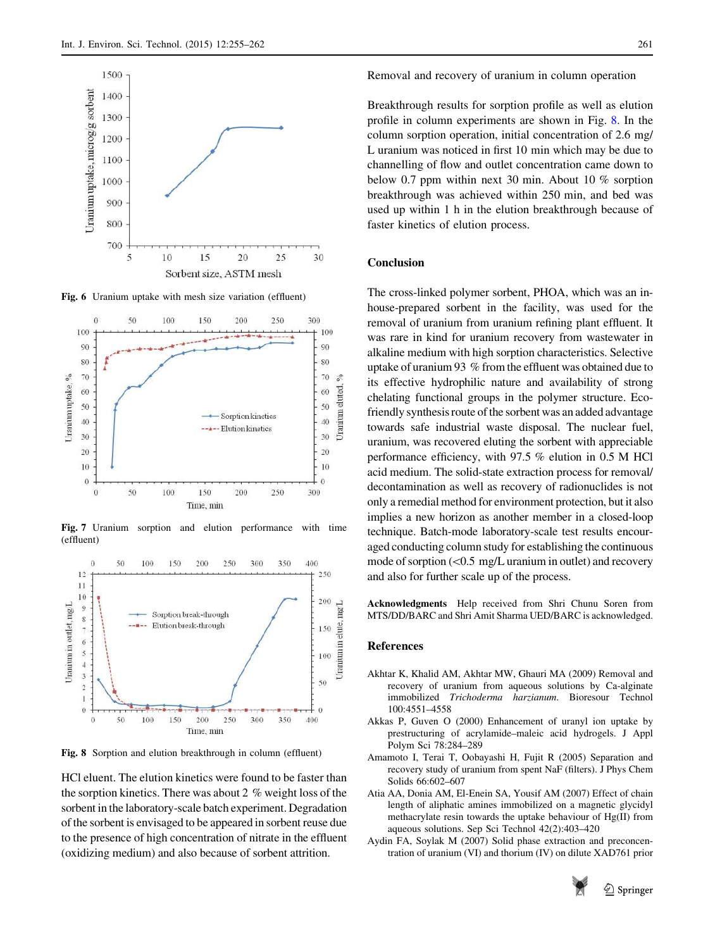<span id="page-6-0"></span>

Fig. 6 Uranium uptake with mesh size variation (effluent)



Fig. 7 Uranium sorption and elution performance with time (effluent)



Fig. 8 Sorption and elution breakthrough in column (effluent)

HCl eluent. The elution kinetics were found to be faster than the sorption kinetics. There was about 2 % weight loss of the sorbent in the laboratory-scale batch experiment. Degradation of the sorbent is envisaged to be appeared in sorbent reuse due to the presence of high concentration of nitrate in the effluent (oxidizing medium) and also because of sorbent attrition.

Breakthrough results for sorption profile as well as elution profile in column experiments are shown in Fig. 8. In the column sorption operation, initial concentration of 2.6 mg/ L uranium was noticed in first 10 min which may be due to channelling of flow and outlet concentration came down to below 0.7 ppm within next 30 min. About 10 % sorption breakthrough was achieved within 250 min, and bed was used up within 1 h in the elution breakthrough because of faster kinetics of elution process.

# Conclusion

The cross-linked polymer sorbent, PHOA, which was an inhouse-prepared sorbent in the facility, was used for the removal of uranium from uranium refining plant effluent. It was rare in kind for uranium recovery from wastewater in alkaline medium with high sorption characteristics. Selective uptake of uranium 93 % from the effluent was obtained due to its effective hydrophilic nature and availability of strong chelating functional groups in the polymer structure. Ecofriendly synthesis route of the sorbent was an added advantage towards safe industrial waste disposal. The nuclear fuel, uranium, was recovered eluting the sorbent with appreciable performance efficiency, with 97.5 % elution in 0.5 M HCl acid medium. The solid-state extraction process for removal/ decontamination as well as recovery of radionuclides is not only a remedial method for environment protection, but it also implies a new horizon as another member in a closed-loop technique. Batch-mode laboratory-scale test results encouraged conducting column study for establishing the continuous mode of sorption  $(<$  0.5 mg/L uranium in outlet) and recovery and also for further scale up of the process.

Acknowledgments Help received from Shri Chunu Soren from MTS/DD/BARC and Shri Amit Sharma UED/BARC is acknowledged.

# References

- Akhtar K, Khalid AM, Akhtar MW, Ghauri MA (2009) Removal and recovery of uranium from aqueous solutions by Ca-alginate immobilized Trichoderma harzianum. Bioresour Technol 100:4551–4558
- Akkas P, Guven O (2000) Enhancement of uranyl ion uptake by prestructuring of acrylamide–maleic acid hydrogels. J Appl Polym Sci 78:284–289
- Amamoto I, Terai T, Oobayashi H, Fujit R (2005) Separation and recovery study of uranium from spent NaF (filters). J Phys Chem Solids 66:602–607
- Atia AA, Donia AM, El-Enein SA, Yousif AM (2007) Effect of chain length of aliphatic amines immobilized on a magnetic glycidyl methacrylate resin towards the uptake behaviour of Hg(II) from aqueous solutions. Sep Sci Technol 42(2):403–420
- Aydin FA, Soylak M (2007) Solid phase extraction and preconcentration of uranium (VI) and thorium (IV) on dilute XAD761 prior